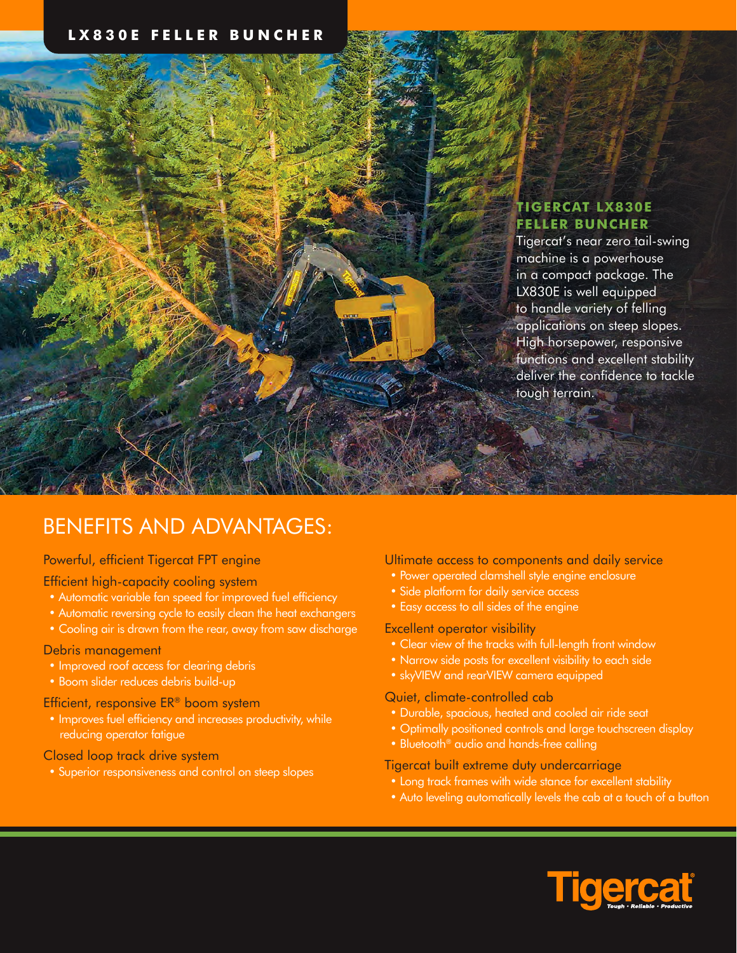## **LX830E FELLER BUNCHER**

# **TIGERCAT LX830E FELLER BUNCHER**

Tigercat's near zero tail-swing machine is a powerhouse in a compact package. The LX830E is well equipped to handle variety of felling applications on steep slopes. High horsepower, responsive functions and excellent stability deliver the confidence to tackle tough terrain.

# BENEFITS AND ADVANTAGES:

### Powerful, efficient Tigercat FPT engine

#### Efficient high-capacity cooling system

- Automatic variable fan speed for improved fuel efficiency
- Automatic reversing cycle to easily clean the heat exchangers
- Cooling air is drawn from the rear, away from saw discharge

#### Debris management

- Improved roof access for clearing debris
- Boom slider reduces debris build-up

#### Efficient, responsive ER® boom system

• Improves fuel efficiency and increases productivity, while reducing operator fatigue

#### Closed loop track drive system

• Superior responsiveness and control on steep slopes

#### Ultimate access to components and daily service

- Power operated clamshell style engine enclosure
- Side platform for daily service access
- Easy access to all sides of the engine

#### Excellent operator visibility

- Clear view of the tracks with full-length front window
- Narrow side posts for excellent visibility to each side
- skyVIEW and rearVIEW camera equipped

#### Quiet, climate-controlled cab

- Durable, spacious, heated and cooled air ride seat
- Optimally positioned controls and large touchscreen display
- Bluetooth<sup>®</sup> audio and hands-free calling

#### Tigercat built extreme duty undercarriage

- Long track frames with wide stance for excellent stability
- Auto leveling automatically levels the cab at a touch of a button